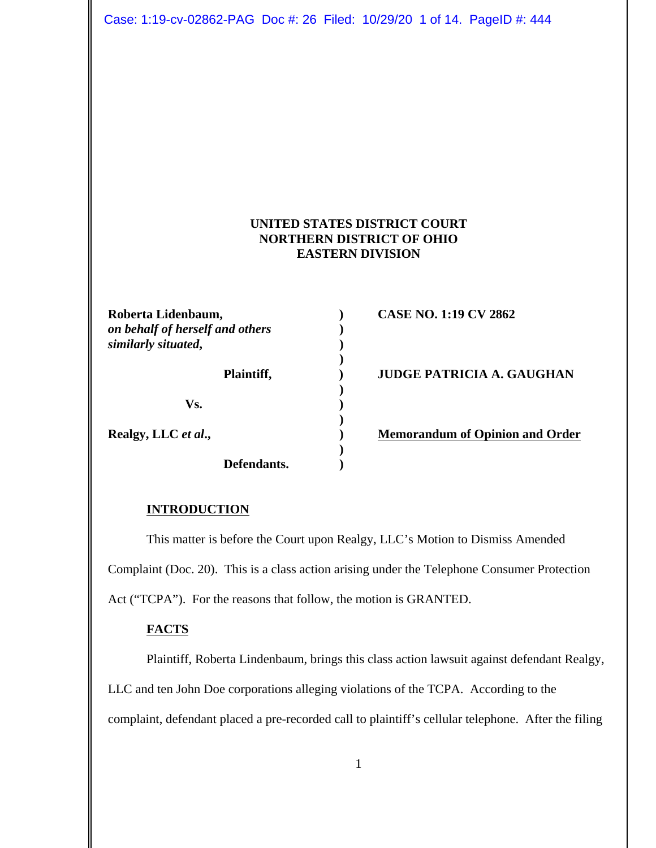Case: 1:19-cv-02862-PAG Doc #: 26 Filed: 10/29/20 1 of 14. PageID #: 444

# **UNITED STATES DISTRICT COURT NORTHERN DISTRICT OF OHIO EASTERN DIVISION**

**)**

**)**

**)**

**)**

**Roberta Lidenbaum, ) CASE NO. 1:19 CV 2862** *on behalf of herself and others* **)** *similarly situated***, )**

**Vs. )**

**Defendants. )**

Plaintiff,  $JUDGE$  PATRICIA A. GAUGHAN

**Realgy, LLC** *et al.*, **)** Memorandum of Opinion and Order

#### **INTRODUCTION**

This matter is before the Court upon Realgy, LLC's Motion to Dismiss Amended Complaint (Doc. 20). This is a class action arising under the Telephone Consumer Protection Act ("TCPA"). For the reasons that follow, the motion is GRANTED.

### **FACTS**

Plaintiff, Roberta Lindenbaum, brings this class action lawsuit against defendant Realgy, LLC and ten John Doe corporations alleging violations of the TCPA. According to the complaint, defendant placed a pre-recorded call to plaintiff's cellular telephone. After the filing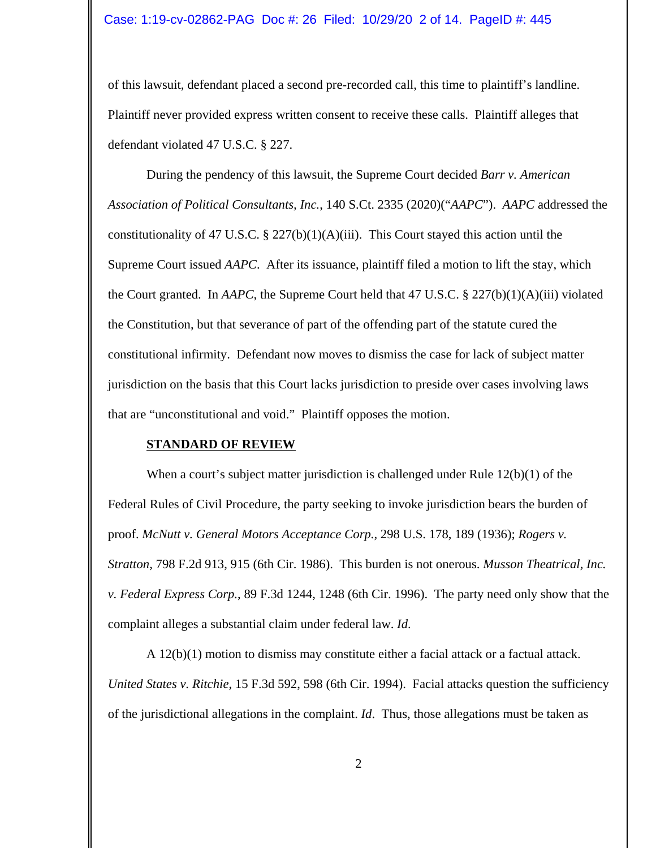of this lawsuit, defendant placed a second pre-recorded call, this time to plaintiff's landline. Plaintiff never provided express written consent to receive these calls. Plaintiff alleges that defendant violated 47 U.S.C. § 227.

During the pendency of this lawsuit, the Supreme Court decided *Barr v. American Association of Political Consultants, Inc.*, 140 S.Ct. 2335 (2020)("*AAPC*"). *AAPC* addressed the constitutionality of 47 U.S.C. § 227(b)(1)(A)(iii). This Court stayed this action until the Supreme Court issued *AAPC*. After its issuance, plaintiff filed a motion to lift the stay, which the Court granted. In *AAPC*, the Supreme Court held that 47 U.S.C. § 227(b)(1)(A)(iii) violated the Constitution, but that severance of part of the offending part of the statute cured the constitutional infirmity. Defendant now moves to dismiss the case for lack of subject matter jurisdiction on the basis that this Court lacks jurisdiction to preside over cases involving laws that are "unconstitutional and void." Plaintiff opposes the motion.

#### **STANDARD OF REVIEW**

When a court's subject matter jurisdiction is challenged under Rule 12(b)(1) of the Federal Rules of Civil Procedure, the party seeking to invoke jurisdiction bears the burden of proof. *McNutt v. General Motors Acceptance Corp.*, 298 U.S. 178, 189 (1936); *Rogers v. Stratton*, 798 F.2d 913, 915 (6th Cir. 1986). This burden is not onerous. *Musson Theatrical, Inc. v. Federal Express Corp.*, 89 F.3d 1244, 1248 (6th Cir. 1996). The party need only show that the complaint alleges a substantial claim under federal law. *Id*.

A  $12(b)(1)$  motion to dismiss may constitute either a facial attack or a factual attack. *United States v. Ritchie*, 15 F.3d 592, 598 (6th Cir. 1994). Facial attacks question the sufficiency of the jurisdictional allegations in the complaint. *Id*. Thus, those allegations must be taken as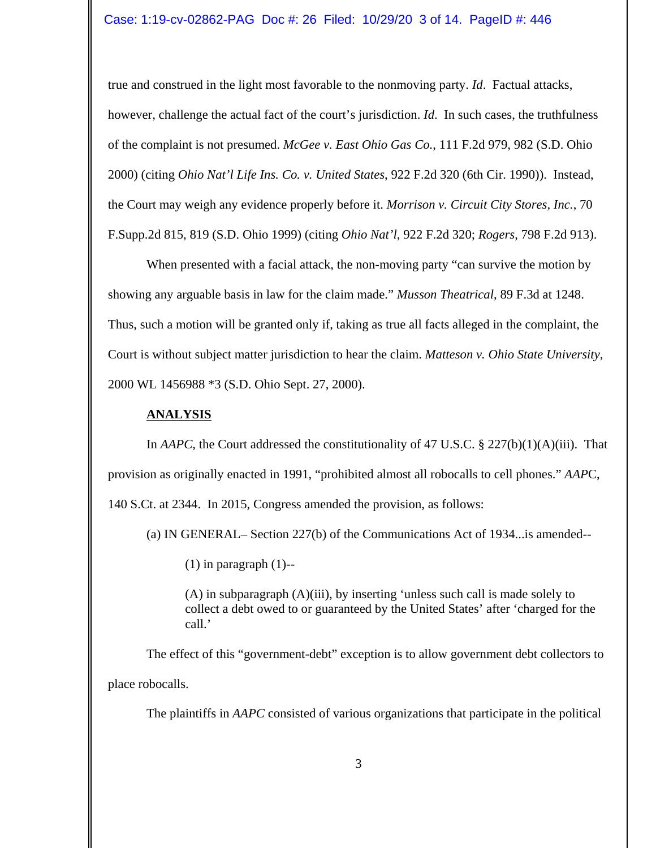true and construed in the light most favorable to the nonmoving party. *Id*. Factual attacks, however, challenge the actual fact of the court's jurisdiction. *Id*. In such cases, the truthfulness of the complaint is not presumed. *McGee v. East Ohio Gas Co.*, 111 F.2d 979, 982 (S.D. Ohio 2000) (citing *Ohio Nat'l Life Ins. Co. v. United States*, 922 F.2d 320 (6th Cir. 1990)). Instead, the Court may weigh any evidence properly before it. *Morrison v. Circuit City Stores, Inc.*, 70 F.Supp.2d 815, 819 (S.D. Ohio 1999) (citing *Ohio Nat'l*, 922 F.2d 320; *Rogers*, 798 F.2d 913).

When presented with a facial attack, the non-moving party "can survive the motion by showing any arguable basis in law for the claim made." *Musson Theatrical*, 89 F.3d at 1248. Thus, such a motion will be granted only if, taking as true all facts alleged in the complaint, the Court is without subject matter jurisdiction to hear the claim. *Matteson v. Ohio State University*, 2000 WL 1456988 \*3 (S.D. Ohio Sept. 27, 2000).

# **ANALYSIS**

In *AAPC*, the Court addressed the constitutionality of 47 U.S.C. § 227(b)(1)(A)(iii). That provision as originally enacted in 1991, "prohibited almost all robocalls to cell phones." *AAP*C, 140 S.Ct. at 2344. In 2015, Congress amended the provision, as follows:

(a) IN GENERAL– Section 227(b) of the Communications Act of 1934...is amended--

 $(1)$  in paragraph  $(1)$ --

(A) in subparagraph (A)(iii), by inserting 'unless such call is made solely to collect a debt owed to or guaranteed by the United States' after 'charged for the call.'

The effect of this "government-debt" exception is to allow government debt collectors to place robocalls.

The plaintiffs in *AAPC* consisted of various organizations that participate in the political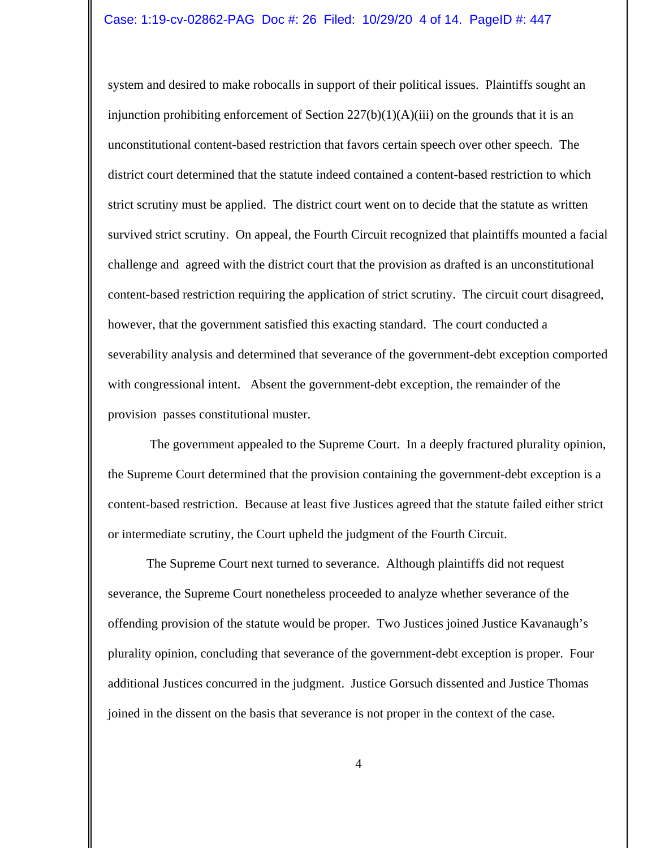system and desired to make robocalls in support of their political issues. Plaintiffs sought an injunction prohibiting enforcement of Section  $227(b)(1)(A)(iii)$  on the grounds that it is an unconstitutional content-based restriction that favors certain speech over other speech. The district court determined that the statute indeed contained a content-based restriction to which strict scrutiny must be applied. The district court went on to decide that the statute as written survived strict scrutiny. On appeal, the Fourth Circuit recognized that plaintiffs mounted a facial challenge and agreed with the district court that the provision as drafted is an unconstitutional content-based restriction requiring the application of strict scrutiny. The circuit court disagreed, however, that the government satisfied this exacting standard. The court conducted a severability analysis and determined that severance of the government-debt exception comported with congressional intent. Absent the government-debt exception, the remainder of the provision passes constitutional muster.

 The government appealed to the Supreme Court. In a deeply fractured plurality opinion, the Supreme Court determined that the provision containing the government-debt exception is a content-based restriction. Because at least five Justices agreed that the statute failed either strict or intermediate scrutiny, the Court upheld the judgment of the Fourth Circuit.

The Supreme Court next turned to severance. Although plaintiffs did not request severance, the Supreme Court nonetheless proceeded to analyze whether severance of the offending provision of the statute would be proper. Two Justices joined Justice Kavanaugh's plurality opinion, concluding that severance of the government-debt exception is proper. Four additional Justices concurred in the judgment. Justice Gorsuch dissented and Justice Thomas joined in the dissent on the basis that severance is not proper in the context of the case.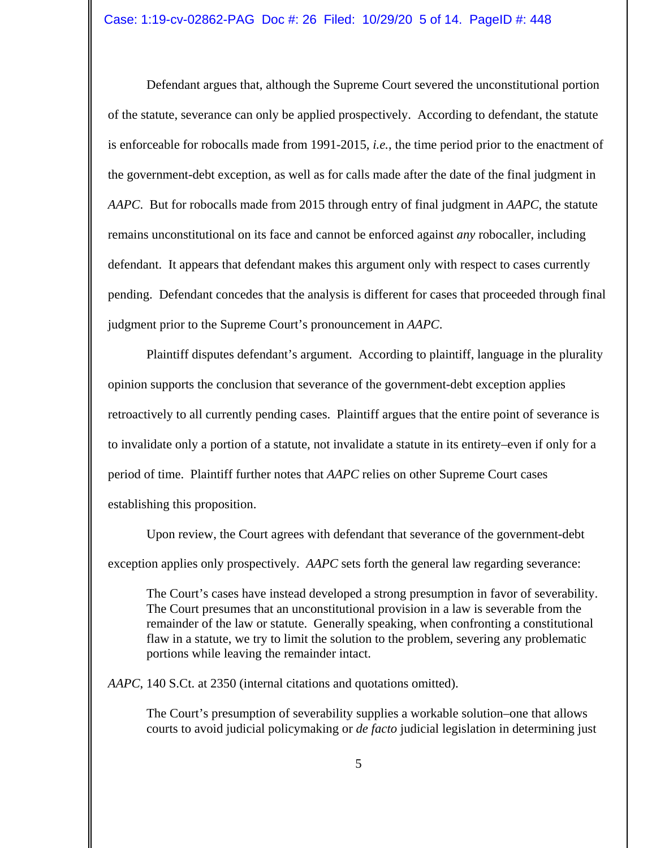Defendant argues that, although the Supreme Court severed the unconstitutional portion of the statute, severance can only be applied prospectively. According to defendant, the statute is enforceable for robocalls made from 1991-2015, *i.e.*, the time period prior to the enactment of the government-debt exception, as well as for calls made after the date of the final judgment in *AAPC*. But for robocalls made from 2015 through entry of final judgment in *AAPC*, the statute remains unconstitutional on its face and cannot be enforced against *any* robocaller, including defendant. It appears that defendant makes this argument only with respect to cases currently pending. Defendant concedes that the analysis is different for cases that proceeded through final judgment prior to the Supreme Court's pronouncement in *AAPC*.

Plaintiff disputes defendant's argument. According to plaintiff, language in the plurality opinion supports the conclusion that severance of the government-debt exception applies retroactively to all currently pending cases. Plaintiff argues that the entire point of severance is to invalidate only a portion of a statute, not invalidate a statute in its entirety–even if only for a period of time. Plaintiff further notes that *AAPC* relies on other Supreme Court cases establishing this proposition.

Upon review, the Court agrees with defendant that severance of the government-debt exception applies only prospectively. *AAPC* sets forth the general law regarding severance:

The Court's cases have instead developed a strong presumption in favor of severability. The Court presumes that an unconstitutional provision in a law is severable from the remainder of the law or statute. Generally speaking, when confronting a constitutional flaw in a statute, we try to limit the solution to the problem, severing any problematic portions while leaving the remainder intact.

*AAPC*, 140 S.Ct. at 2350 (internal citations and quotations omitted).

The Court's presumption of severability supplies a workable solution–one that allows courts to avoid judicial policymaking or *de facto* judicial legislation in determining just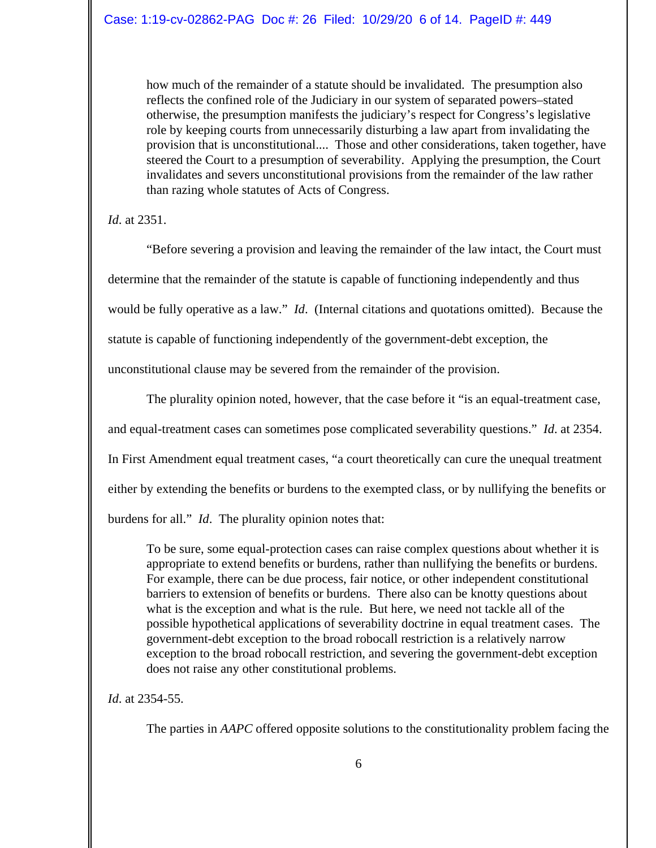how much of the remainder of a statute should be invalidated. The presumption also reflects the confined role of the Judiciary in our system of separated powers–stated otherwise, the presumption manifests the judiciary's respect for Congress's legislative role by keeping courts from unnecessarily disturbing a law apart from invalidating the provision that is unconstitutional.... Those and other considerations, taken together, have steered the Court to a presumption of severability. Applying the presumption, the Court invalidates and severs unconstitutional provisions from the remainder of the law rather than razing whole statutes of Acts of Congress.

*Id*. at 2351.

"Before severing a provision and leaving the remainder of the law intact, the Court must determine that the remainder of the statute is capable of functioning independently and thus would be fully operative as a law." *Id*. (Internal citations and quotations omitted). Because the statute is capable of functioning independently of the government-debt exception, the unconstitutional clause may be severed from the remainder of the provision.

The plurality opinion noted, however, that the case before it "is an equal-treatment case, and equal-treatment cases can sometimes pose complicated severability questions." *Id*. at 2354. In First Amendment equal treatment cases, "a court theoretically can cure the unequal treatment either by extending the benefits or burdens to the exempted class, or by nullifying the benefits or burdens for all." *Id*. The plurality opinion notes that:

To be sure, some equal-protection cases can raise complex questions about whether it is appropriate to extend benefits or burdens, rather than nullifying the benefits or burdens. For example, there can be due process, fair notice, or other independent constitutional barriers to extension of benefits or burdens. There also can be knotty questions about what is the exception and what is the rule. But here, we need not tackle all of the possible hypothetical applications of severability doctrine in equal treatment cases. The government-debt exception to the broad robocall restriction is a relatively narrow exception to the broad robocall restriction, and severing the government-debt exception does not raise any other constitutional problems.

*Id*. at 2354-55.

The parties in *AAPC* offered opposite solutions to the constitutionality problem facing the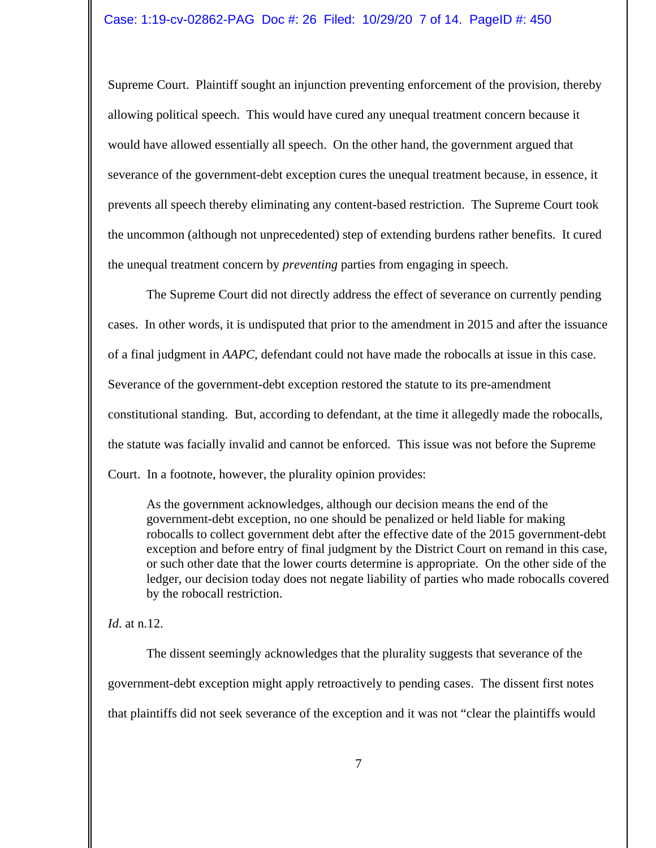Supreme Court. Plaintiff sought an injunction preventing enforcement of the provision, thereby allowing political speech. This would have cured any unequal treatment concern because it would have allowed essentially all speech. On the other hand, the government argued that severance of the government-debt exception cures the unequal treatment because, in essence, it prevents all speech thereby eliminating any content-based restriction. The Supreme Court took the uncommon (although not unprecedented) step of extending burdens rather benefits. It cured the unequal treatment concern by *preventing* parties from engaging in speech.

The Supreme Court did not directly address the effect of severance on currently pending cases. In other words, it is undisputed that prior to the amendment in 2015 and after the issuance of a final judgment in *AAPC*, defendant could not have made the robocalls at issue in this case. Severance of the government-debt exception restored the statute to its pre-amendment constitutional standing. But, according to defendant, at the time it allegedly made the robocalls, the statute was facially invalid and cannot be enforced. This issue was not before the Supreme Court. In a footnote, however, the plurality opinion provides:

As the government acknowledges, although our decision means the end of the government-debt exception, no one should be penalized or held liable for making robocalls to collect government debt after the effective date of the 2015 government-debt exception and before entry of final judgment by the District Court on remand in this case, or such other date that the lower courts determine is appropriate. On the other side of the ledger, our decision today does not negate liability of parties who made robocalls covered by the robocall restriction.

### *Id*. at n.12.

The dissent seemingly acknowledges that the plurality suggests that severance of the government-debt exception might apply retroactively to pending cases. The dissent first notes that plaintiffs did not seek severance of the exception and it was not "clear the plaintiffs would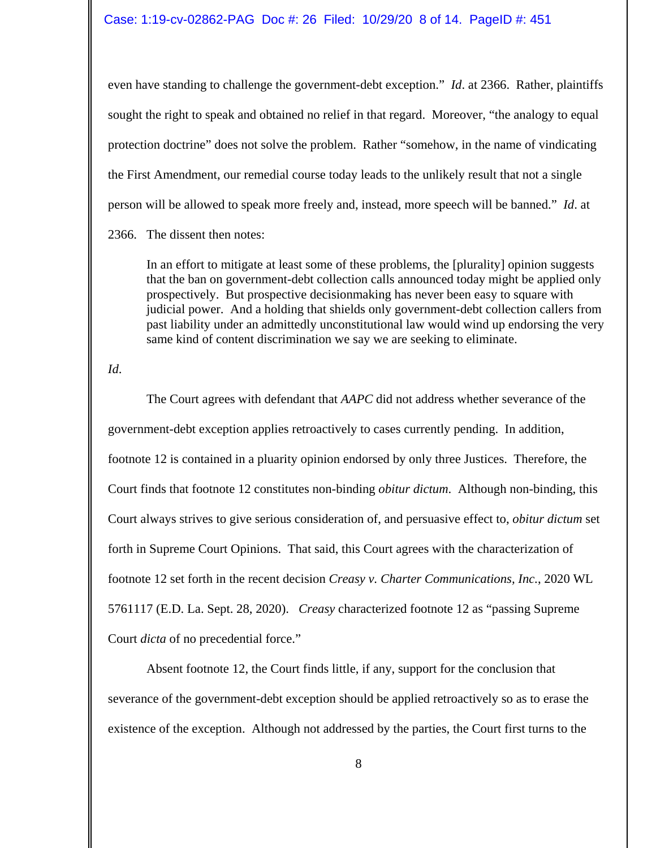even have standing to challenge the government-debt exception." *Id*. at 2366. Rather, plaintiffs sought the right to speak and obtained no relief in that regard. Moreover, "the analogy to equal protection doctrine" does not solve the problem. Rather "somehow, in the name of vindicating the First Amendment, our remedial course today leads to the unlikely result that not a single person will be allowed to speak more freely and, instead, more speech will be banned." *Id*. at 2366. The dissent then notes:

In an effort to mitigate at least some of these problems, the [plurality] opinion suggests that the ban on government-debt collection calls announced today might be applied only prospectively. But prospective decisionmaking has never been easy to square with judicial power. And a holding that shields only government-debt collection callers from past liability under an admittedly unconstitutional law would wind up endorsing the very

same kind of content discrimination we say we are seeking to eliminate.

*Id*.

The Court agrees with defendant that *AAPC* did not address whether severance of the government-debt exception applies retroactively to cases currently pending. In addition, footnote 12 is contained in a pluarity opinion endorsed by only three Justices. Therefore, the Court finds that footnote 12 constitutes non-binding *obitur dictum*. Although non-binding, this Court always strives to give serious consideration of, and persuasive effect to, *obitur dictum* set forth in Supreme Court Opinions. That said, this Court agrees with the characterization of footnote 12 set forth in the recent decision *Creasy v. Charter Communications, Inc.*, 2020 WL 5761117 (E.D. La. Sept. 28, 2020). *Creasy* characterized footnote 12 as "passing Supreme Court *dicta* of no precedential force."

Absent footnote 12, the Court finds little, if any, support for the conclusion that severance of the government-debt exception should be applied retroactively so as to erase the existence of the exception. Although not addressed by the parties, the Court first turns to the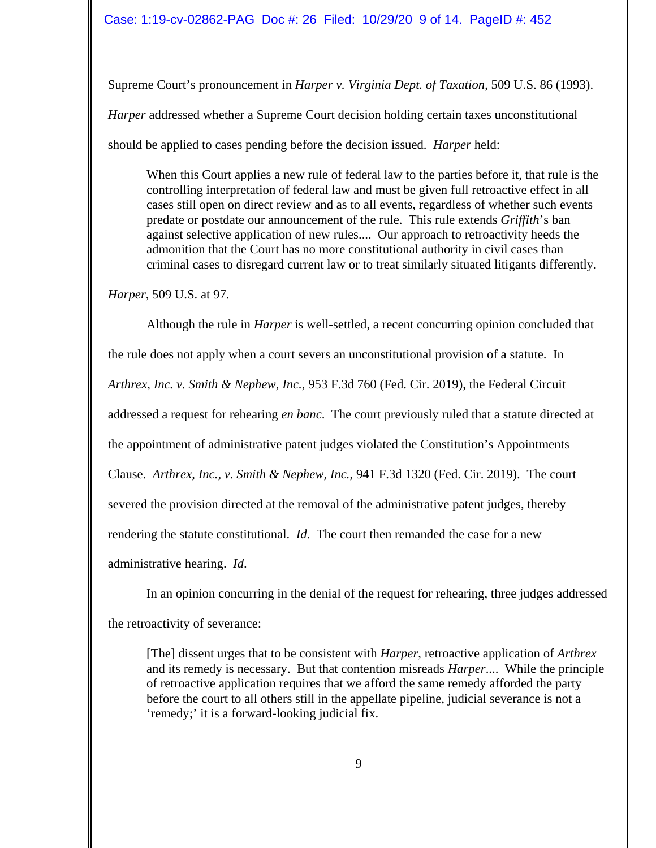Supreme Court's pronouncement in *Harper v. Virginia Dept. of Taxation*, 509 U.S. 86 (1993). *Harper* addressed whether a Supreme Court decision holding certain taxes unconstitutional should be applied to cases pending before the decision issued. *Harper* held:

When this Court applies a new rule of federal law to the parties before it, that rule is the controlling interpretation of federal law and must be given full retroactive effect in all cases still open on direct review and as to all events, regardless of whether such events predate or postdate our announcement of the rule. This rule extends *Griffith*'s ban against selective application of new rules.... Our approach to retroactivity heeds the admonition that the Court has no more constitutional authority in civil cases than criminal cases to disregard current law or to treat similarly situated litigants differently.

*Harper*, 509 U.S. at 97.

Although the rule in *Harper* is well-settled, a recent concurring opinion concluded that the rule does not apply when a court severs an unconstitutional provision of a statute. In *Arthrex, Inc. v. Smith & Nephew, Inc.*, 953 F.3d 760 (Fed. Cir. 2019), the Federal Circuit addressed a request for rehearing *en banc*. The court previously ruled that a statute directed at the appointment of administrative patent judges violated the Constitution's Appointments Clause. *Arthrex, Inc., v. Smith & Nephew, Inc.*, 941 F.3d 1320 (Fed. Cir. 2019). The court severed the provision directed at the removal of the administrative patent judges, thereby rendering the statute constitutional. *Id*. The court then remanded the case for a new administrative hearing. *Id*.

In an opinion concurring in the denial of the request for rehearing, three judges addressed the retroactivity of severance:

[The] dissent urges that to be consistent with *Harper*, retroactive application of *Arthrex* and its remedy is necessary. But that contention misreads *Harper*.... While the principle of retroactive application requires that we afford the same remedy afforded the party before the court to all others still in the appellate pipeline, judicial severance is not a 'remedy;' it is a forward-looking judicial fix.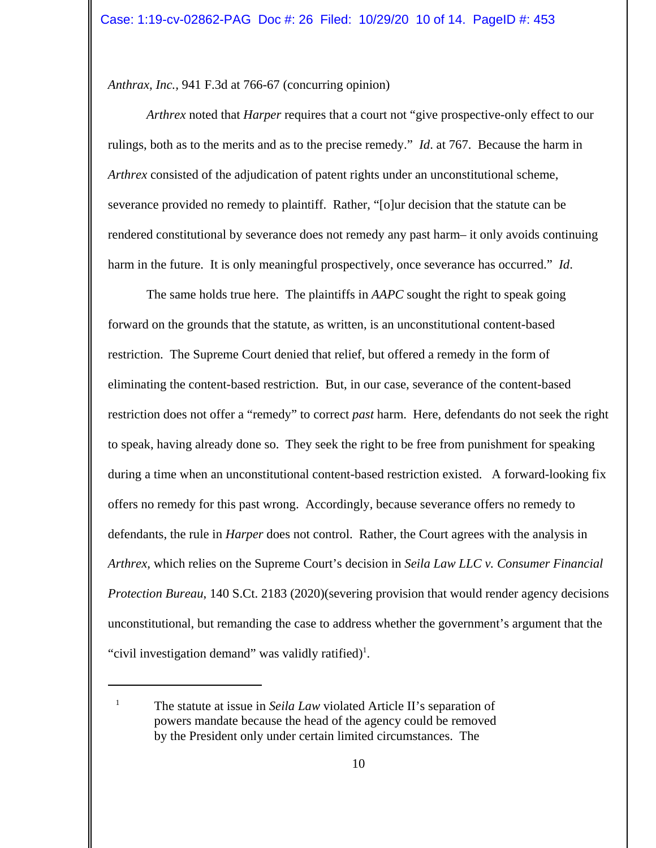*Anthrax, Inc.,* 941 F.3d at 766-67 (concurring opinion)

*Arthrex* noted that *Harper* requires that a court not "give prospective-only effect to our rulings, both as to the merits and as to the precise remedy." *Id*. at 767. Because the harm in *Arthrex* consisted of the adjudication of patent rights under an unconstitutional scheme, severance provided no remedy to plaintiff. Rather, "[o]ur decision that the statute can be rendered constitutional by severance does not remedy any past harm– it only avoids continuing harm in the future. It is only meaningful prospectively, once severance has occurred." *Id*.

The same holds true here. The plaintiffs in *AAPC* sought the right to speak going forward on the grounds that the statute, as written, is an unconstitutional content-based restriction. The Supreme Court denied that relief, but offered a remedy in the form of eliminating the content-based restriction. But, in our case, severance of the content-based restriction does not offer a "remedy" to correct *past* harm. Here, defendants do not seek the right to speak, having already done so. They seek the right to be free from punishment for speaking during a time when an unconstitutional content-based restriction existed. A forward-looking fix offers no remedy for this past wrong. Accordingly, because severance offers no remedy to defendants, the rule in *Harper* does not control. Rather, the Court agrees with the analysis in *Arthrex,* which relies on the Supreme Court's decision in *Seila Law LLC v. Consumer Financial Protection Bureau*, 140 S.Ct. 2183 (2020)(severing provision that would render agency decisions unconstitutional, but remanding the case to address whether the government's argument that the "civil investigation demand" was validly ratified)<sup>1</sup>.

<sup>&</sup>lt;sup>1</sup> The statute at issue in *Seila Law* violated Article II's separation of powers mandate because the head of the agency could be removed by the President only under certain limited circumstances. The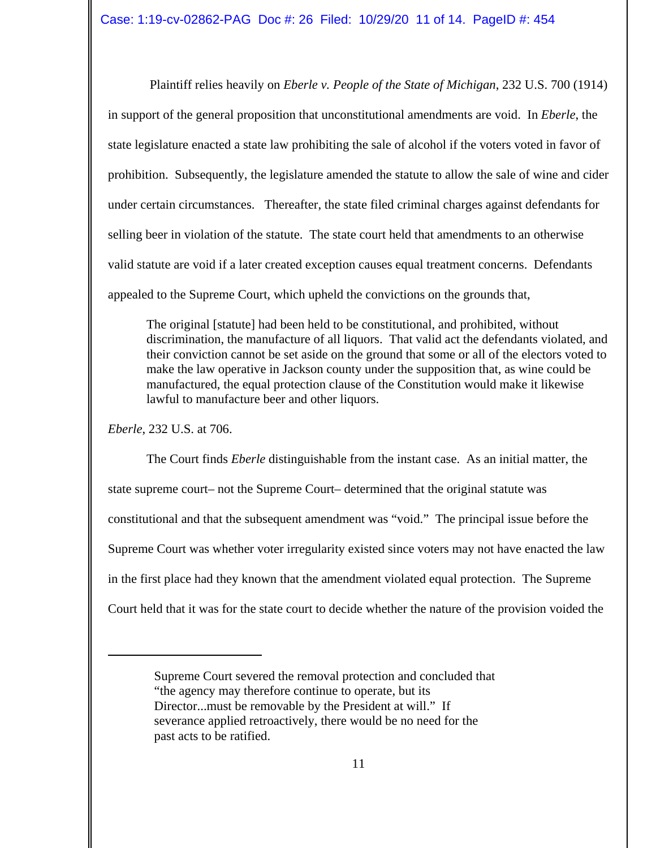Plaintiff relies heavily on *Eberle v. People of the State of Michigan*, 232 U.S. 700 (1914) in support of the general proposition that unconstitutional amendments are void. In *Eberle*, the state legislature enacted a state law prohibiting the sale of alcohol if the voters voted in favor of prohibition. Subsequently, the legislature amended the statute to allow the sale of wine and cider under certain circumstances. Thereafter, the state filed criminal charges against defendants for selling beer in violation of the statute. The state court held that amendments to an otherwise valid statute are void if a later created exception causes equal treatment concerns. Defendants appealed to the Supreme Court, which upheld the convictions on the grounds that,

The original [statute] had been held to be constitutional, and prohibited, without discrimination, the manufacture of all liquors. That valid act the defendants violated, and their conviction cannot be set aside on the ground that some or all of the electors voted to make the law operative in Jackson county under the supposition that, as wine could be manufactured, the equal protection clause of the Constitution would make it likewise lawful to manufacture beer and other liquors.

*Eberle*, 232 U.S. at 706.

The Court finds *Eberle* distinguishable from the instant case. As an initial matter, the state supreme court– not the Supreme Court– determined that the original statute was constitutional and that the subsequent amendment was "void." The principal issue before the Supreme Court was whether voter irregularity existed since voters may not have enacted the law in the first place had they known that the amendment violated equal protection. The Supreme Court held that it was for the state court to decide whether the nature of the provision voided the

Supreme Court severed the removal protection and concluded that "the agency may therefore continue to operate, but its Director...must be removable by the President at will." If severance applied retroactively, there would be no need for the past acts to be ratified.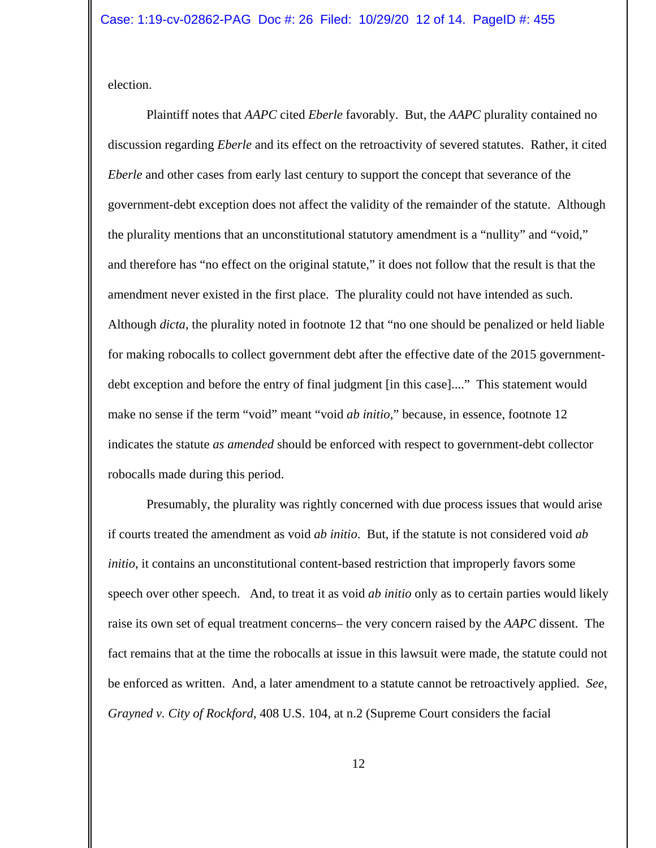election.

Plaintiff notes that *AAPC* cited *Eberle* favorably. But, the *AAPC* plurality contained no discussion regarding *Eberle* and its effect on the retroactivity of severed statutes. Rather, it cited *Eberle* and other cases from early last century to support the concept that severance of the government-debt exception does not affect the validity of the remainder of the statute. Although the plurality mentions that an unconstitutional statutory amendment is a "nullity" and "void," and therefore has "no effect on the original statute," it does not follow that the result is that the amendment never existed in the first place. The plurality could not have intended as such. Although *dicta*, the plurality noted in footnote 12 that "no one should be penalized or held liable for making robocalls to collect government debt after the effective date of the 2015 governmentdebt exception and before the entry of final judgment [in this case]...." This statement would make no sense if the term "void" meant "void *ab initio*," because, in essence, footnote 12 indicates the statute *as amended* should be enforced with respect to government-debt collector robocalls made during this period.

Presumably, the plurality was rightly concerned with due process issues that would arise if courts treated the amendment as void *ab initio*. But, if the statute is not considered void *ab initio*, it contains an unconstitutional content-based restriction that improperly favors some speech over other speech. And, to treat it as void *ab initio* only as to certain parties would likely raise its own set of equal treatment concerns– the very concern raised by the *AAPC* dissent. The fact remains that at the time the robocalls at issue in this lawsuit were made, the statute could not be enforced as written. And, a later amendment to a statute cannot be retroactively applied. *See, Grayned v. City of Rockford*, 408 U.S. 104, at n.2 (Supreme Court considers the facial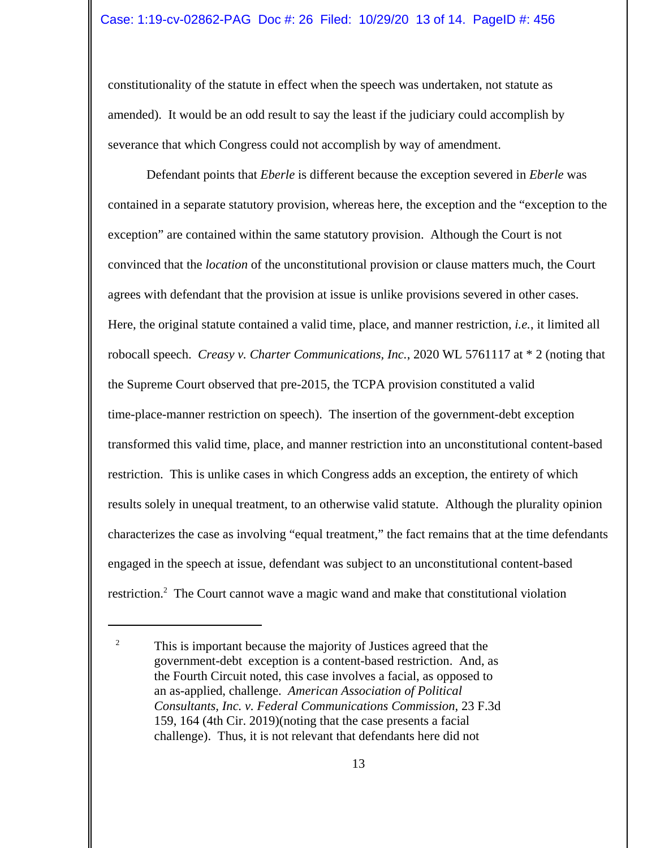constitutionality of the statute in effect when the speech was undertaken, not statute as amended). It would be an odd result to say the least if the judiciary could accomplish by severance that which Congress could not accomplish by way of amendment.

Defendant points that *Eberle* is different because the exception severed in *Eberle* was contained in a separate statutory provision, whereas here, the exception and the "exception to the exception" are contained within the same statutory provision. Although the Court is not convinced that the *location* of the unconstitutional provision or clause matters much, the Court agrees with defendant that the provision at issue is unlike provisions severed in other cases. Here, the original statute contained a valid time, place, and manner restriction, *i.e.*, it limited all robocall speech. *Creasy v. Charter Communications, Inc.*, 2020 WL 5761117 at \* 2 (noting that the Supreme Court observed that pre-2015, the TCPA provision constituted a valid time-place-manner restriction on speech). The insertion of the government-debt exception transformed this valid time, place, and manner restriction into an unconstitutional content-based restriction. This is unlike cases in which Congress adds an exception, the entirety of which results solely in unequal treatment, to an otherwise valid statute. Although the plurality opinion characterizes the case as involving "equal treatment," the fact remains that at the time defendants engaged in the speech at issue, defendant was subject to an unconstitutional content-based restriction.<sup>2</sup> The Court cannot wave a magic wand and make that constitutional violation

<sup>&</sup>lt;sup>2</sup> This is important because the majority of Justices agreed that the government-debt exception is a content-based restriction. And, as the Fourth Circuit noted, this case involves a facial, as opposed to an as-applied, challenge. *American Association of Political Consultants, Inc. v. Federal Communications Commission*, 23 F.3d 159, 164 (4th Cir. 2019)(noting that the case presents a facial challenge). Thus, it is not relevant that defendants here did not